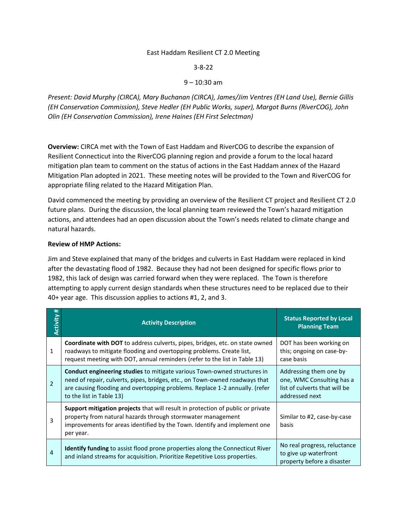#### East Haddam Resilient CT 2.0 Meeting

3-8-22

### 9 – 10:30 am

*Present: David Murphy (CIRCA), Mary Buchanan (CIRCA), James/Jim Ventres (EH Land Use), Bernie Gillis (EH Conservation Commission), Steve Hedler (EH Public Works, super), Margot Burns (RiverCOG), John Olin (EH Conservation Commission), Irene Haines (EH First Selectman)*

**Overview:** CIRCA met with the Town of East Haddam and RiverCOG to describe the expansion of Resilient Connecticut into the RiverCOG planning region and provide a forum to the local hazard mitigation plan team to comment on the status of actions in the East Haddam annex of the Hazard Mitigation Plan adopted in 2021. These meeting notes will be provided to the Town and RiverCOG for appropriate filing related to the Hazard Mitigation Plan.

David commenced the meeting by providing an overview of the Resilient CT project and Resilient CT 2.0 future plans. During the discussion, the local planning team reviewed the Town's hazard mitigation actions, and attendees had an open discussion about the Town's needs related to climate change and natural hazards.

#### **Review of HMP Actions:**

Jim and Steve explained that many of the bridges and culverts in East Haddam were replaced in kind after the devastating flood of 1982. Because they had not been designed for specific flows prior to 1982, this lack of design was carried forward when they were replaced. The Town is therefore attempting to apply current design standards when these structures need to be replaced due to their 40+ year age. This discussion applies to actions #1, 2, and 3.

| #<br>Activity  | <b>Activity Description</b>                                                                                                                                                                                                                                               | <b>Status Reported by Local</b><br><b>Planning Team</b>                                                |
|----------------|---------------------------------------------------------------------------------------------------------------------------------------------------------------------------------------------------------------------------------------------------------------------------|--------------------------------------------------------------------------------------------------------|
| $\mathbf{1}$   | Coordinate with DOT to address culverts, pipes, bridges, etc. on state owned<br>roadways to mitigate flooding and overtopping problems. Create list,<br>request meeting with DOT, annual reminders (refer to the list in Table 13)                                        | DOT has been working on<br>this; ongoing on case-by-<br>case basis                                     |
| $\mathfrak{p}$ | <b>Conduct engineering studies</b> to mitigate various Town-owned structures in<br>need of repair, culverts, pipes, bridges, etc., on Town-owned roadways that<br>are causing flooding and overtopping problems. Replace 1-2 annually. (refer<br>to the list in Table 13) | Addressing them one by<br>one, WMC Consulting has a<br>list of culverts that will be<br>addressed next |
| 3              | <b>Support mitigation projects</b> that will result in protection of public or private<br>property from natural hazards through stormwater management<br>improvements for areas identified by the Town. Identify and implement one<br>per year.                           | Similar to #2, case-by-case<br>basis                                                                   |
| 4              | <b>Identify funding</b> to assist flood prone properties along the Connecticut River<br>and inland streams for acquisition. Prioritize Repetitive Loss properties.                                                                                                        | No real progress, reluctance<br>to give up waterfront<br>property before a disaster                    |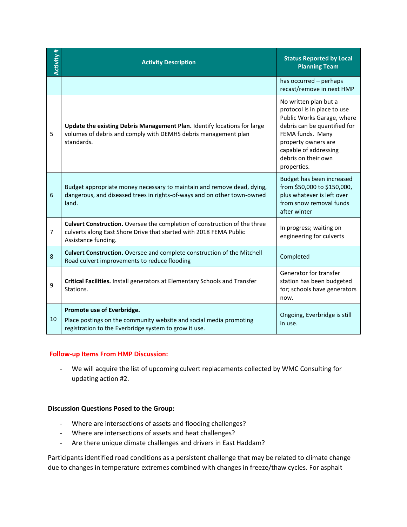| Activity#      | <b>Activity Description</b>                                                                                                                                            | <b>Status Reported by Local</b><br><b>Planning Team</b>                                                                                                                                                                      |
|----------------|------------------------------------------------------------------------------------------------------------------------------------------------------------------------|------------------------------------------------------------------------------------------------------------------------------------------------------------------------------------------------------------------------------|
|                |                                                                                                                                                                        | has occurred - perhaps<br>recast/remove in next HMP                                                                                                                                                                          |
| 5              | Update the existing Debris Management Plan. Identify locations for large<br>volumes of debris and comply with DEMHS debris management plan<br>standards.               | No written plan but a<br>protocol is in place to use<br>Public Works Garage, where<br>debris can be quantified for<br>FEMA funds. Many<br>property owners are<br>capable of addressing<br>debris on their own<br>properties. |
| 6              | Budget appropriate money necessary to maintain and remove dead, dying,<br>dangerous, and diseased trees in rights-of-ways and on other town-owned<br>land.             | Budget has been increased<br>from \$50,000 to \$150,000,<br>plus whatever is left over<br>from snow removal funds<br>after winter                                                                                            |
| $\overline{7}$ | Culvert Construction. Oversee the completion of construction of the three<br>culverts along East Shore Drive that started with 2018 FEMA Public<br>Assistance funding. | In progress; waiting on<br>engineering for culverts                                                                                                                                                                          |
| 8              | Culvert Construction. Oversee and complete construction of the Mitchell<br>Road culvert improvements to reduce flooding                                                | Completed                                                                                                                                                                                                                    |
| 9              | Critical Facilities. Install generators at Elementary Schools and Transfer<br>Stations.                                                                                | Generator for transfer<br>station has been budgeted<br>for; schools have generators<br>now.                                                                                                                                  |
| 10             | Promote use of Everbridge.<br>Place postings on the community website and social media promoting<br>registration to the Everbridge system to grow it use.              | Ongoing, Everbridge is still<br>in use.                                                                                                                                                                                      |

## **Follow-up Items From HMP Discussion:**

- We will acquire the list of upcoming culvert replacements collected by WMC Consulting for updating action #2.

## **Discussion Questions Posed to the Group:**

- Where are intersections of assets and flooding challenges?
- Where are intersections of assets and heat challenges?
- Are there unique climate challenges and drivers in East Haddam?

Participants identified road conditions as a persistent challenge that may be related to climate change due to changes in temperature extremes combined with changes in freeze/thaw cycles. For asphalt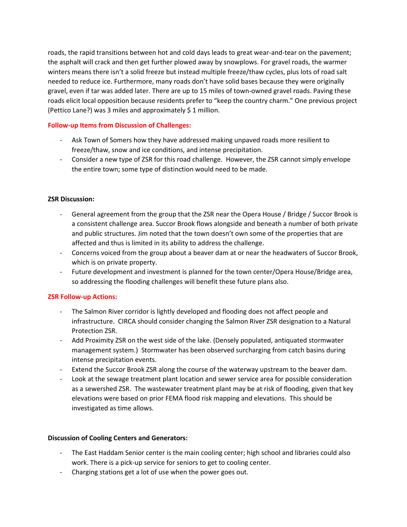roads, the rapid transitions between hot and cold days leads to great wear-and-tear on the pavement; the asphalt will crack and then get further plowed away by snowplows. For gravel roads, the warmer winters means there isn't a solid freeze but instead multiple freeze/thaw cycles, plus lots of road salt needed to reduce ice. Furthermore, many roads don't have solid bases because they were originally gravel, even if tar was added later. There are up to 15 miles of town-owned gravel roads. Paving these roads elicit local opposition because residents prefer to "keep the country charm." One previous project (Pettico Lane?) was 3 miles and approximately \$ 1 million.

# **Follow-up Items from Discussion of Challenges:**

- Ask Town of Somers how they have addressed making unpaved roads more resilient to freeze/thaw, snow and ice conditions, and intense precipitation.
- Consider a new type of ZSR for this road challenge. However, the ZSR cannot simply envelope the entire town; some type of distinction would need to be made.

# **ZSR Discussion:**

- General agreement from the group that the ZSR near the Opera House / Bridge / Succor Brook is a consistent challenge area. Succor Brook flows alongside and beneath a number of both private and public structures. Jim noted that the town doesn't own some of the properties that are affected and thus is limited in its ability to address the challenge.
- Concerns voiced from the group about a beaver dam at or near the headwaters of Succor Brook, which is on private property.
- Future development and investment is planned for the town center/Opera House/Bridge area, so addressing the flooding challenges will benefit these future plans also.

## **ZSR Follow-up Actions:**

- The Salmon River corridor is lightly developed and flooding does not affect people and infrastructure. CIRCA should consider changing the Salmon River ZSR designation to a Natural Protection ZSR.
- Add Proximity ZSR on the west side of the lake. (Densely populated, antiquated stormwater management system.) Stormwater has been observed surcharging from catch basins during intense precipitation events.
- Extend the Succor Brook ZSR along the course of the waterway upstream to the beaver dam.
- Look at the sewage treatment plant location and sewer service area for possible consideration as a sewershed ZSR. The wastewater treatment plant may be at risk of flooding, given that key elevations were based on prior FEMA flood risk mapping and elevations. This should be investigated as time allows.

## **Discussion of Cooling Centers and Generators:**

- The East Haddam Senior center is the main cooling center; high school and libraries could also work. There is a pick-up service for seniors to get to cooling center.
- Charging stations get a lot of use when the power goes out.